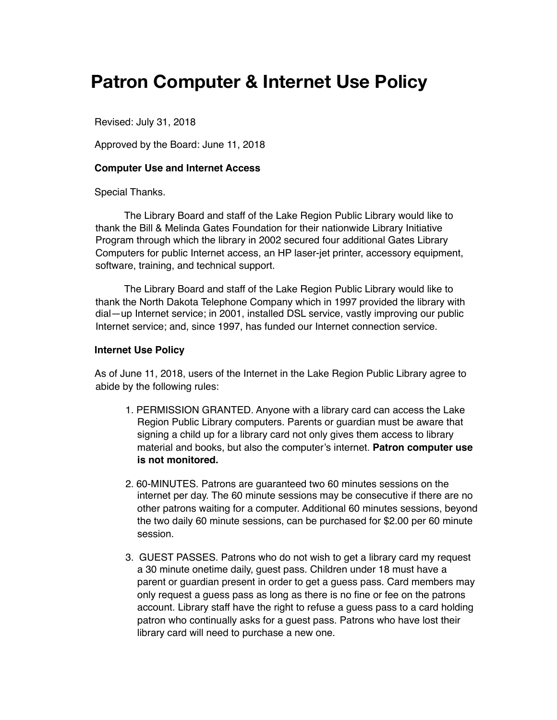# **Patron Computer & Internet Use Policy**

Revised: July 31, 2018

Approved by the Board: June 11, 2018

## **Computer Use and Internet Access**

Special Thanks.

The Library Board and staff of the Lake Region Public Library would like to thank the Bill & Melinda Gates Foundation for their nationwide Library Initiative Program through which the library in 2002 secured four additional Gates Library Computers for public Internet access, an HP laser-jet printer, accessory equipment, software, training, and technical support.

The Library Board and staff of the Lake Region Public Library would like to thank the North Dakota Telephone Company which in 1997 provided the library with dial—up Internet service; in 2001, installed DSL service, vastly improving our public Internet service; and, since 1997, has funded our Internet connection service.

## **Internet Use Policy**

As of June 11, 2018, users of the Internet in the Lake Region Public Library agree to abide by the following rules:

- 1. PERMISSION GRANTED. Anyone with a library card can access the Lake Region Public Library computers. Parents or guardian must be aware that signing a child up for a library card not only gives them access to library material and books, but also the computer's internet. **Patron computer use is not monitored.**
- 2. 60-MINUTES. Patrons are guaranteed two 60 minutes sessions on the internet per day. The 60 minute sessions may be consecutive if there are no other patrons waiting for a computer. Additional 60 minutes sessions, beyond the two daily 60 minute sessions, can be purchased for \$2.00 per 60 minute session.
- 3. GUEST PASSES. Patrons who do not wish to get a library card my request a 30 minute onetime daily, guest pass. Children under 18 must have a parent or guardian present in order to get a guess pass. Card members may only request a guess pass as long as there is no fine or fee on the patrons account. Library staff have the right to refuse a guess pass to a card holding patron who continually asks for a guest pass. Patrons who have lost their library card will need to purchase a new one.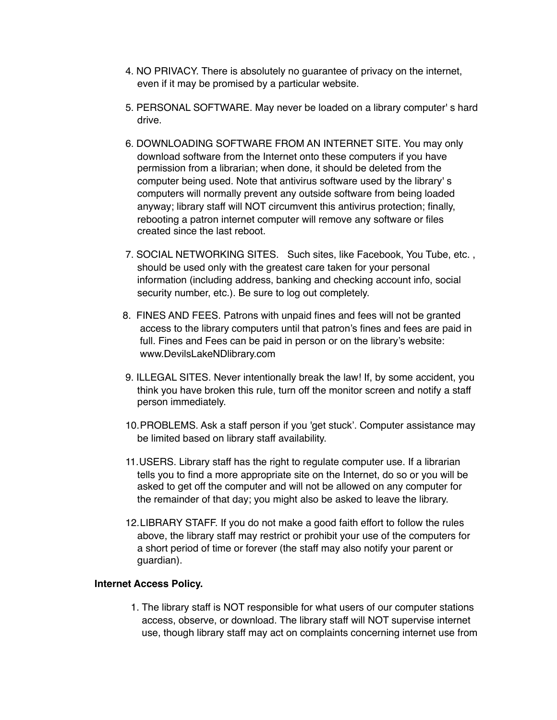- 4. NO PRIVACY. There is absolutely no guarantee of privacy on the internet, even if it may be promised by a particular website.
- 5. PERSONAL SOFTWARE. May never be loaded on a library computer' s hard drive.
- 6. DOWNLOADING SOFTWARE FROM AN INTERNET SITE. You may only download software from the Internet onto these computers if you have permission from a librarian; when done, it should be deleted from the computer being used. Note that antivirus software used by the library' s computers will normally prevent any outside software from being loaded anyway; library staff will NOT circumvent this antivirus protection; finally, rebooting a patron internet computer will remove any software or files created since the last reboot.
- 7. SOCIAL NETWORKING SITES. Such sites, like Facebook, You Tube, etc. , should be used only with the greatest care taken for your personal information (including address, banking and checking account info, social security number, etc.). Be sure to log out completely.
- 8. FINES AND FEES. Patrons with unpaid fines and fees will not be granted access to the library computers until that patron's fines and fees are paid in full. Fines and Fees can be paid in person or on the library's website: www.DevilsLakeNDlibrary.com
- 9. ILLEGAL SITES. Never intentionally break the law! If, by some accident, you think you have broken this rule, turn off the monitor screen and notify a staff person immediately.
- 10.PROBLEMS. Ask a staff person if you 'get stuck'. Computer assistance may be limited based on library staff availability.
- 11.USERS. Library staff has the right to regulate computer use. If a librarian tells you to find a more appropriate site on the Internet, do so or you will be asked to get off the computer and will not be allowed on any computer for the remainder of that day; you might also be asked to leave the library.
- 12.LIBRARY STAFF. If you do not make a good faith effort to follow the rules above, the library staff may restrict or prohibit your use of the computers for a short period of time or forever (the staff may also notify your parent or guardian).

#### **Internet Access Policy.**

1. The library staff is NOT responsible for what users of our computer stations access, observe, or download. The library staff will NOT supervise internet use, though library staff may act on complaints concerning internet use from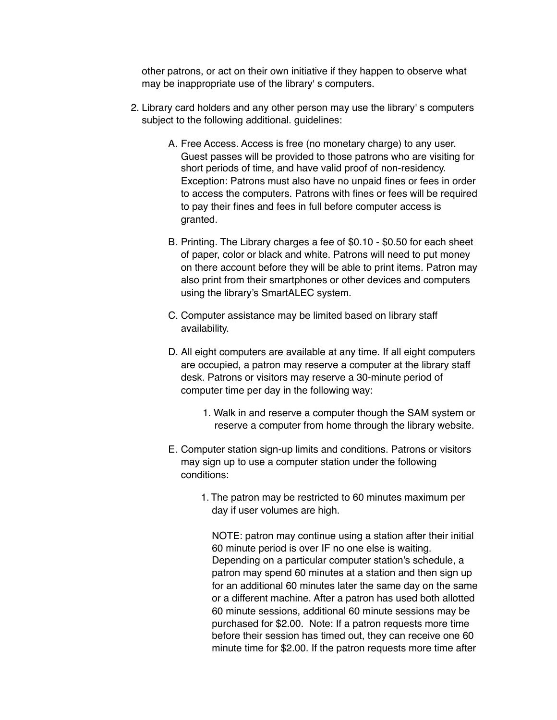other patrons, or act on their own initiative if they happen to observe what may be inappropriate use of the library' s computers.

- 2. Library card holders and any other person may use the library' s computers subject to the following additional. guidelines:
	- A. Free Access. Access is free (no monetary charge) to any user. Guest passes will be provided to those patrons who are visiting for short periods of time, and have valid proof of non-residency. Exception: Patrons must also have no unpaid fines or fees in order to access the computers. Patrons with fines or fees will be required to pay their fines and fees in full before computer access is granted.
	- B. Printing. The Library charges a fee of \$0.10 \$0.50 for each sheet of paper, color or black and white. Patrons will need to put money on there account before they will be able to print items. Patron may also print from their smartphones or other devices and computers using the library's SmartALEC system.
	- C. Computer assistance may be limited based on library staff availability.
	- D. All eight computers are available at any time. If all eight computers are occupied, a patron may reserve a computer at the library staff desk. Patrons or visitors may reserve a 30-minute period of computer time per day in the following way:
		- 1. Walk in and reserve a computer though the SAM system or reserve a computer from home through the library website.
	- E. Computer station sign-up limits and conditions. Patrons or visitors may sign up to use a computer station under the following conditions:
		- 1. The patron may be restricted to 60 minutes maximum per day if user volumes are high.

NOTE: patron may continue using a station after their initial 60 minute period is over IF no one else is waiting. Depending on a particular computer station's schedule, a patron may spend 60 minutes at a station and then sign up for an additional 60 minutes later the same day on the same or a different machine. After a patron has used both allotted 60 minute sessions, additional 60 minute sessions may be purchased for \$2.00. Note: If a patron requests more time before their session has timed out, they can receive one 60 minute time for \$2.00. If the patron requests more time after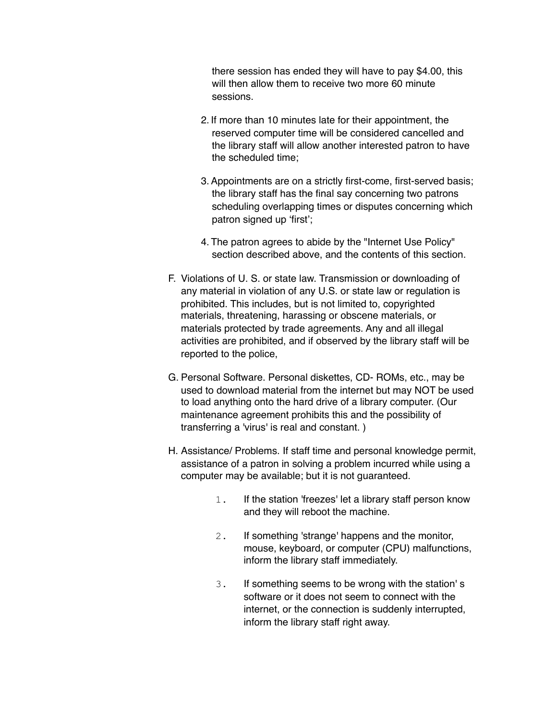there session has ended they will have to pay \$4.00, this will then allow them to receive two more 60 minute sessions.

- 2. If more than 10 minutes late for their appointment, the reserved computer time will be considered cancelled and the library staff will allow another interested patron to have the scheduled time;
- 3.Appointments are on a strictly first-come, first-served basis; the library staff has the final say concerning two patrons scheduling overlapping times or disputes concerning which patron signed up 'first';
- 4. The patron agrees to abide by the "Internet Use Policy" section described above, and the contents of this section.
- F. Violations of U. S. or state law. Transmission or downloading of any material in violation of any U.S. or state law or regulation is prohibited. This includes, but is not limited to, copyrighted materials, threatening, harassing or obscene materials, or materials protected by trade agreements. Any and all illegal activities are prohibited, and if observed by the library staff will be reported to the police,
- G. Personal Software. Personal diskettes, CD- ROMs, etc., may be used to download material from the internet but may NOT be used to load anything onto the hard drive of a library computer. (Our maintenance agreement prohibits this and the possibility of transferring a 'virus' is real and constant. )
- H. Assistance/ Problems. If staff time and personal knowledge permit, assistance of a patron in solving a problem incurred while using a computer may be available; but it is not guaranteed.
	- 1. If the station 'freezes' let a library staff person know and they will reboot the machine.
	- 2. If something 'strange' happens and the monitor, mouse, keyboard, or computer (CPU) malfunctions, inform the library staff immediately.
	- 3. If something seems to be wrong with the station' s software or it does not seem to connect with the internet, or the connection is suddenly interrupted, inform the library staff right away.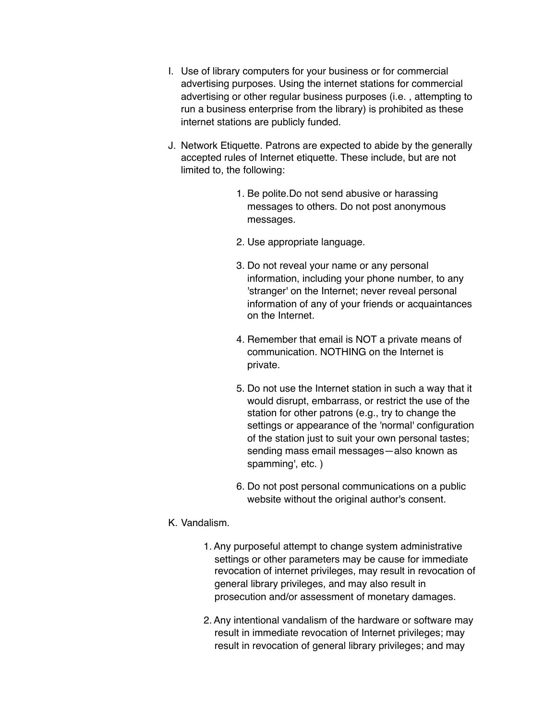- I. Use of library computers for your business or for commercial advertising purposes. Using the internet stations for commercial advertising or other regular business purposes (i.e. , attempting to run a business enterprise from the library) is prohibited as these internet stations are publicly funded.
- J. Network Etiquette. Patrons are expected to abide by the generally accepted rules of Internet etiquette. These include, but are not limited to, the following:
	- 1. Be polite.Do not send abusive or harassing messages to others. Do not post anonymous messages.
	- 2. Use appropriate language.
	- 3. Do not reveal your name or any personal information, including your phone number, to any 'stranger' on the Internet; never reveal personal information of any of your friends or acquaintances on the Internet.
	- 4. Remember that email is NOT a private means of communication. NOTHING on the Internet is private.
	- 5. Do not use the Internet station in such a way that it would disrupt, embarrass, or restrict the use of the station for other patrons (e.g., try to change the settings or appearance of the 'normal' configuration of the station just to suit your own personal tastes; sending mass email messages—also known as spamming', etc. )
	- 6. Do not post personal communications on a public website without the original author's consent.

# K. Vandalism.

- 1.Any purposeful attempt to change system administrative settings or other parameters may be cause for immediate revocation of internet privileges, may result in revocation of general library privileges, and may also result in prosecution and/or assessment of monetary damages.
- 2.Any intentional vandalism of the hardware or software may result in immediate revocation of Internet privileges; may result in revocation of general library privileges; and may